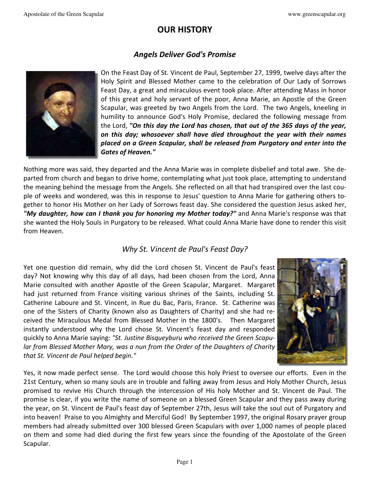## **OUR HISTORY**

#### *Angels Deliver God's Promise*



On the Feast Day of St. Vincent de Paul, September 27, 1999, twelve days after the Holy Spirit and Blessed Mother came to the celebration of Our Lady of Sorrows Feast Day, a great and miraculous event took place. After attending Mass in honor of this great and holy servant of the poor, Anna Marie, an Apostle of the Green Scapular, was greeted by two Angels from the Lord. The two Angels, kneeling in humility to announce God's Holy Promise, declared the following message from the Lord, *"On this day the Lord has chosen, that out of the 365 days of the year, on this day; whosoever shall have died throughout the year with their names placed on a Green Scapular, shall be released from Purgatory and enter into the Gates of Heaven."*

Nothing more was said, they departed and the Anna Marie was in complete disbelief and total awe. She departed from church and began to drive home, contemplating what just took place, attempting to understand the meaning behind the message from the Angels. She reflected on all that had transpired over the last couple of weeks and wondered, was this in response to Jesus' question to Anna Marie for gathering others together to honor His Mother on her Lady of Sorrows feast day. She considered the question Jesus asked her, *"My daughter, how can I thank you for honoring my Mother today?"* and Anna Marie's response was that she wanted the Holy Souls in Purgatory to be released. What could Anna Marie have done to render this visit from Heaven.

#### *Why St. Vincent de Paul's Feast Day?*

Yet one question did remain, why did the Lord chosen St. Vincent de Paul's feast day? Not knowing why this day of all days, had been chosen from the Lord, Anna Marie consulted with another Apostle of the Green Scapular, Margaret. Margaret had just returned from France visiting various shrines of the Saints, including St. Catherine Laboure and St. Vincent, in Rue du Bac, Paris, France. St. Catherine was one of the Sisters of Charity (known also as Daughters of Charity) and she had received the Miraculous Medal from Blessed Mother in the 1800's. Then Margaret instantly understood why the Lord chose St. Vincent's feast day and responded quickly to Anna Marie saying: *"St. Justine Bisqueyburu who received the Green Scapular from Blessed Mother Mary, was a nun from the Order of the Daughters of Charity that St. Vincent de Paul helped begin."* 



Yes, it now made perfect sense. The Lord would choose this holy Priest to oversee our efforts. Even in the 21st Century, when so many souls are in trouble and falling away from Jesus and Holy Mother Church, Jesus promised to revive His Church through the intercession of His holy Mother and St. Vincent de Paul. The promise is clear, if you write the name of someone on a blessed Green Scapular and they pass away during the year, on St. Vincent de Paul's feast day of September 27th, Jesus will take the soul out of Purgatory and into heaven! Praise to you Almighty and Merciful God! By September 1997, the original Rosary prayer group members had already submitted over 300 blessed Green Scapulars with over 1,000 names of people placed on them and some had died during the first few years since the founding of the Apostolate of the Green Scapular.